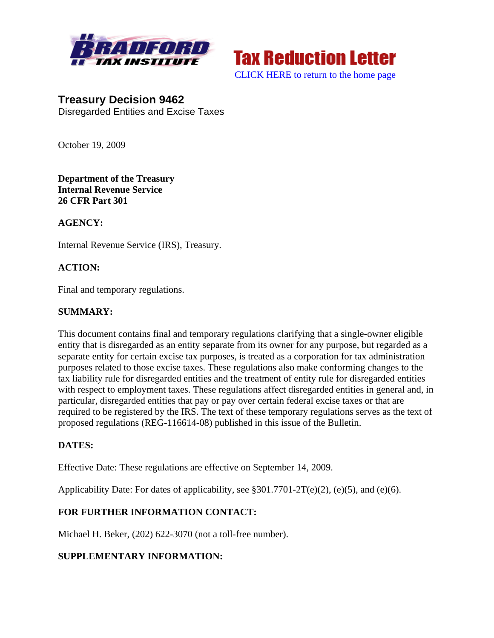



[CLICK HERE to return to the home page](http://bradfordtaxinstitute.com/index1.aspx) 

**Treasury Decision 9462**  Disregarded Entities and Excise Taxes

October 19, 2009

**Department of the Treasury Internal Revenue Service 26 CFR Part 301** 

#### **AGENCY:**

Internal Revenue Service (IRS), Treasury.

## **ACTION:**

Final and temporary regulations.

#### **SUMMARY:**

This document contains final and temporary regulations clarifying that a single-owner eligible entity that is disregarded as an entity separate from its owner for any purpose, but regarded as a separate entity for certain excise tax purposes, is treated as a corporation for tax administration purposes related to those excise taxes. These regulations also make conforming changes to the tax liability rule for disregarded entities and the treatment of entity rule for disregarded entities with respect to employment taxes. These regulations affect disregarded entities in general and, in particular, disregarded entities that pay or pay over certain federal excise taxes or that are required to be registered by the IRS. The text of these temporary regulations serves as the text of proposed regulations (REG-116614-08) published in this issue of the Bulletin.

#### **DATES:**

Effective Date: These regulations are effective on September 14, 2009.

Applicability Date: For dates of applicability, see §301.7701-2T(e)(2), (e)(5), and (e)(6).

## **FOR FURTHER INFORMATION CONTACT:**

Michael H. Beker, (202) 622-3070 (not a toll-free number).

## **SUPPLEMENTARY INFORMATION:**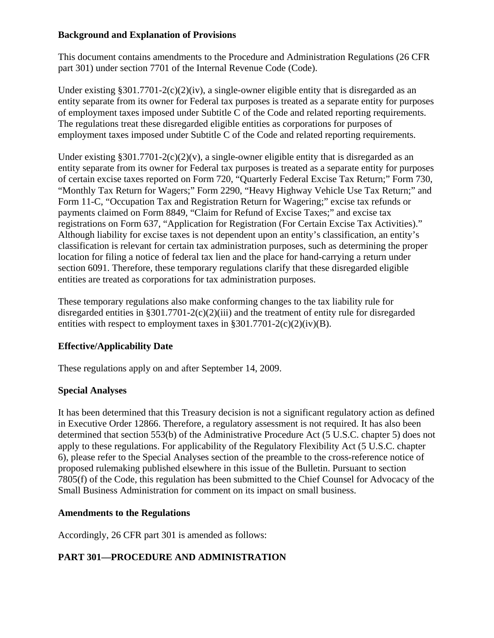## **Background and Explanation of Provisions**

This document contains amendments to the Procedure and Administration Regulations (26 CFR part 301) under section 7701 of the Internal Revenue Code (Code).

Under existing §301.7701-2(c)(2)(iv), a single-owner eligible entity that is disregarded as an entity separate from its owner for Federal tax purposes is treated as a separate entity for purposes of employment taxes imposed under Subtitle C of the Code and related reporting requirements. The regulations treat these disregarded eligible entities as corporations for purposes of employment taxes imposed under Subtitle C of the Code and related reporting requirements.

Under existing §301.7701-2(c)(2)(v), a single-owner eligible entity that is disregarded as an entity separate from its owner for Federal tax purposes is treated as a separate entity for purposes of certain excise taxes reported on Form 720, "Quarterly Federal Excise Tax Return;" Form 730, "Monthly Tax Return for Wagers;" Form 2290, "Heavy Highway Vehicle Use Tax Return;" and Form 11-C, "Occupation Tax and Registration Return for Wagering;" excise tax refunds or payments claimed on Form 8849, "Claim for Refund of Excise Taxes;" and excise tax registrations on Form 637, "Application for Registration (For Certain Excise Tax Activities)." Although liability for excise taxes is not dependent upon an entity's classification, an entity's classification is relevant for certain tax administration purposes, such as determining the proper location for filing a notice of federal tax lien and the place for hand-carrying a return under section 6091. Therefore, these temporary regulations clarify that these disregarded eligible entities are treated as corporations for tax administration purposes.

These temporary regulations also make conforming changes to the tax liability rule for disregarded entities in §301.7701-2(c)(2)(iii) and the treatment of entity rule for disregarded entities with respect to employment taxes in  $\S 301.7701 - 2(c)(2)(iv)(B)$ .

# **Effective/Applicability Date**

These regulations apply on and after September 14, 2009.

## **Special Analyses**

It has been determined that this Treasury decision is not a significant regulatory action as defined in Executive Order 12866. Therefore, a regulatory assessment is not required. It has also been determined that section 553(b) of the Administrative Procedure Act (5 U.S.C. chapter 5) does not apply to these regulations. For applicability of the Regulatory Flexibility Act (5 U.S.C. chapter 6), please refer to the Special Analyses section of the preamble to the cross-reference notice of proposed rulemaking published elsewhere in this issue of the Bulletin. Pursuant to section 7805(f) of the Code, this regulation has been submitted to the Chief Counsel for Advocacy of the Small Business Administration for comment on its impact on small business.

## **Amendments to the Regulations**

Accordingly, 26 CFR part 301 is amended as follows:

# **PART 301—PROCEDURE AND ADMINISTRATION**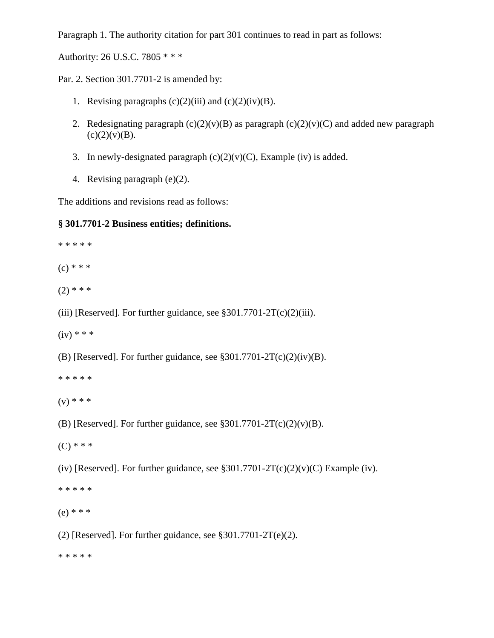Paragraph 1. The authority citation for part 301 continues to read in part as follows:

Authority: 26 U.S.C. 7805 \* \* \*

Par. 2. Section 301.7701-2 is amended by:

- 1. Revising paragraphs  $(c)(2)(iii)$  and  $(c)(2)(iv)(B)$ .
- 2. Redesignating paragraph  $(c)(2)(v)(B)$  as paragraph  $(c)(2)(v)(C)$  and added new paragraph  $(c)(2)(v)(B)$ .
- 3. In newly-designated paragraph  $(c)(2)(v)(C)$ , Example (iv) is added.
- 4. Revising paragraph (e)(2).

The additions and revisions read as follows:

#### **§ 301.7701-2 Business entities; definitions.**

\* \* \* \* \*

 $(c) * * *$ 

- $(2)$  \* \* \*
- (iii) [Reserved]. For further guidance, see  $$301.7701-2T(c)(2)(iii)$ .
- $(iv) * * *$
- (B) [Reserved]. For further guidance, see  $$301.7701-2T(c)(2)(iv)(B)$ .
- \* \* \* \* \*
- $(v) * * *$
- (B) [Reserved]. For further guidance, see  $$301.7701-2T(c)(2)(v)(B)$ .
- $(C)$  \* \* \*

(iv) [Reserved]. For further guidance, see  $$301.7701-2T(c)(2)(v)(C)$  Example (iv).

- \* \* \* \* \*
- (e) \* \* \*
- (2) [Reserved]. For further guidance, see  $$301.7701-2T(e)(2)$ .

\* \* \* \* \*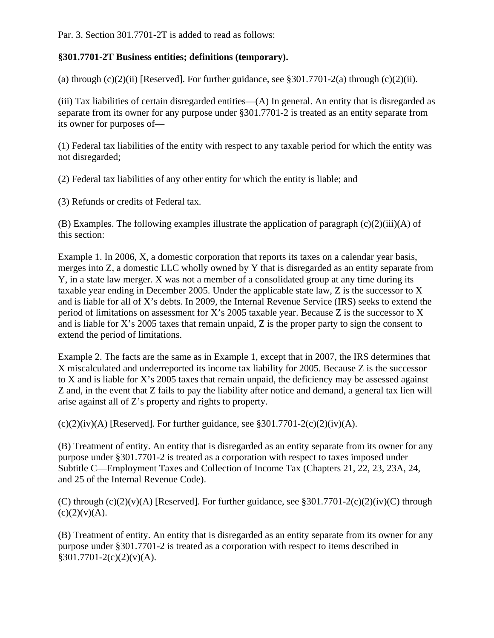Par. 3. Section 301.7701-2T is added to read as follows:

## **§301.7701-2T Business entities; definitions (temporary).**

(a) through  $(c)(2)(ii)$  [Reserved]. For further guidance, see §301.7701-2(a) through  $(c)(2)(ii)$ .

(iii) Tax liabilities of certain disregarded entities—(A) In general. An entity that is disregarded as separate from its owner for any purpose under §301.7701-2 is treated as an entity separate from its owner for purposes of—

(1) Federal tax liabilities of the entity with respect to any taxable period for which the entity was not disregarded;

(2) Federal tax liabilities of any other entity for which the entity is liable; and

(3) Refunds or credits of Federal tax.

(B) Examples. The following examples illustrate the application of paragraph (c)(2)(iii)(A) of this section:

Example 1. In 2006, X, a domestic corporation that reports its taxes on a calendar year basis, merges into Z, a domestic LLC wholly owned by Y that is disregarded as an entity separate from Y, in a state law merger. X was not a member of a consolidated group at any time during its taxable year ending in December 2005. Under the applicable state law, Z is the successor to X and is liable for all of X's debts. In 2009, the Internal Revenue Service (IRS) seeks to extend the period of limitations on assessment for X's 2005 taxable year. Because Z is the successor to X and is liable for X's 2005 taxes that remain unpaid, Z is the proper party to sign the consent to extend the period of limitations.

Example 2. The facts are the same as in Example 1, except that in 2007, the IRS determines that X miscalculated and underreported its income tax liability for 2005. Because Z is the successor to X and is liable for X's 2005 taxes that remain unpaid, the deficiency may be assessed against Z and, in the event that Z fails to pay the liability after notice and demand, a general tax lien will arise against all of Z's property and rights to property.

 $(c)(2)(iv)(A)$  [Reserved]. For further guidance, see §301.7701-2 $(c)(2)(iv)(A)$ .

(B) Treatment of entity. An entity that is disregarded as an entity separate from its owner for any purpose under §301.7701-2 is treated as a corporation with respect to taxes imposed under Subtitle C—Employment Taxes and Collection of Income Tax (Chapters 21, 22, 23, 23A, 24, and 25 of the Internal Revenue Code).

(C) through  $(c)(2)(v)(A)$  [Reserved]. For further guidance, see §301.7701-2(c)(2)(iv)(C) through  $(c)(2)(v)(A).$ 

(B) Treatment of entity. An entity that is disregarded as an entity separate from its owner for any purpose under §301.7701-2 is treated as a corporation with respect to items described in  $§301.7701-2(c)(2)(v)(A).$